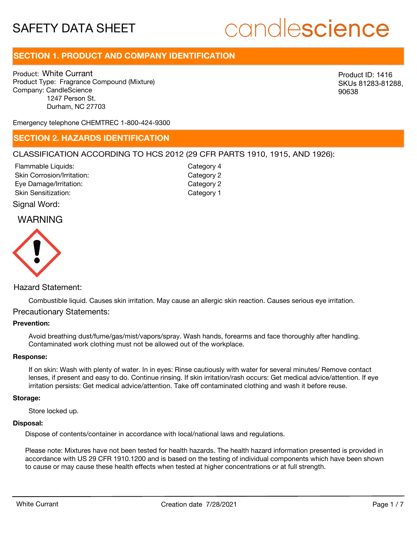# candlescience

# **SECTION 1. PRODUCT AND COMPANY IDENTIFICATION**

Product: White Currant Product Type: Fragrance Compound (Mixture) Company: CandleScience 1247 Person St. Durham, NC 27703

Product ID: 1416 SKUs 81283-81288, 90638

Emergency telephone CHEMTREC 1-800-424-9300

### **SECTION 2. HAZARDS IDENTIFICATION**

### CLASSIFICATION ACCORDING TO HCS 2012 (29 CFR PARTS 1910, 1915, AND 1926):

Skin Corrosion/Irritation: Eye Damage/Irritation: Skin Sensitization: Flammable Liquids:

Category 2 Category 2 Category 1 Category 4

Signal Word:

## WARNING



#### Hazard Statement:

Combustible liquid. Causes skin irritation. May cause an allergic skin reaction. Causes serious eye irritation.

#### Precautionary Statements:

#### **Prevention:**

Avoid breathing dust/fume/gas/mist/vapors/spray. Wash hands, forearms and face thoroughly after handling. Contaminated work clothing must not be allowed out of the workplace.

#### **Response:**

If on skin: Wash with plenty of water. In in eyes: Rinse cautiously with water for several minutes/ Remove contact lenses, if present and easy to do. Continue rinsing. If skin irritation/rash occurs: Get medical advice/attention. If eye irritation persists: Get medical advice/attention. Take off contaminated clothing and wash it before reuse.

#### **Storage:**

Store locked up.

#### **Disposal:**

Dispose of contents/container in accordance with local/national laws and regulations.

Please note: Mixtures have not been tested for health hazards. The health hazard information presented is provided in accordance with US 29 CFR 1910.1200 and is based on the testing of individual components which have been shown to cause or may cause these health effects when tested at higher concentrations or at full strength.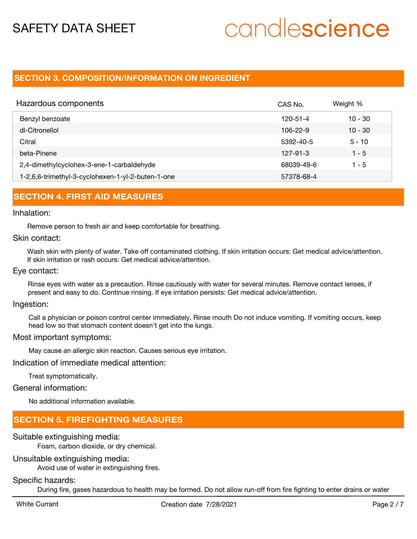# candlescience

## **SECTION 3. COMPOSITION/INFORMATION ON INGREDIENT**

| Hazardous components                              | CAS No.        | Weight %  |
|---------------------------------------------------|----------------|-----------|
| Benzyl benzoate                                   | 120-51-4       | $10 - 30$ |
| dl-Citronellol                                    | 106-22-9       | $10 - 30$ |
| Citral                                            | 5392-40-5      | $5 - 10$  |
| beta-Pinene                                       | $127 - 91 - 3$ | $1 - 5$   |
| 2,4-dimethylcyclohex-3-ene-1-carbaldehyde         | 68039-49-6     | $1 - 5$   |
| 1-2,6,6-trimethyl-3-cyclohexen-1-yl-2-buten-1-one | 57378-68-4     |           |

### **SECTION 4. FIRST AID MEASURES**

#### Inhalation:

Remove person to fresh air and keep comfortable for breathing.

#### Skin contact:

Wash skin with plenty of water. Take off contaminated clothing. If skin irritation occurs: Get medical advice/attention. If skin irritation or rash occurs: Get medical advice/attention.

#### Eye contact:

Rinse eyes with water as a precaution. Rinse cautiously with water for several minutes. Remove contact lenses, if present and easy to do. Continue rinsing. If eye irritation persists: Get medical advice/attention.

#### Ingestion:

Call a physician or poison control center immediately. Rinse mouth Do not induce vomiting. If vomiting occurs, keep head low so that stomach content doesn't get into the lungs.

#### Most important symptoms:

May cause an allergic skin reaction. Causes serious eye irritation.

#### Indication of immediate medical attention:

Treat symptomatically.

#### General information:

No additional information available.

## **SECTION 5. FIREFIGHTING MEASURES**

#### Suitable extinguishing media:

Foam, carbon dioxide, or dry chemical.

#### Unsuitable extinguishing media:

Avoid use of water in extinguishing fires.

#### Specific hazards:

During fire, gases hazardous to health may be formed. Do not allow run-off from fire fighting to enter drains or water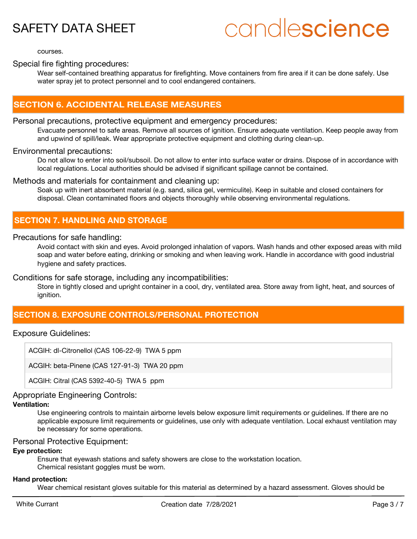# candlescience

courses.

### Special fire fighting procedures:

Wear self-contained breathing apparatus for firefighting. Move containers from fire area if it can be done safely. Use water spray jet to protect personnel and to cool endangered containers.

### **SECTION 6. ACCIDENTAL RELEASE MEASURES**

#### Personal precautions, protective equipment and emergency procedures:

Evacuate personnel to safe areas. Remove all sources of ignition. Ensure adequate ventilation. Keep people away from and upwind of spill/leak. Wear appropriate protective equipment and clothing during clean-up.

#### Environmental precautions:

Do not allow to enter into soil/subsoil. Do not allow to enter into surface water or drains. Dispose of in accordance with local regulations. Local authorities should be advised if significant spillage cannot be contained.

#### Methods and materials for containment and cleaning up:

Soak up with inert absorbent material (e.g. sand, silica gel, vermiculite). Keep in suitable and closed containers for disposal. Clean contaminated floors and objects thoroughly while observing environmental regulations.

# **SECTION 7. HANDLING AND STORAGE**

#### Precautions for safe handling:

Avoid contact with skin and eyes. Avoid prolonged inhalation of vapors. Wash hands and other exposed areas with mild soap and water before eating, drinking or smoking and when leaving work. Handle in accordance with good industrial hygiene and safety practices.

#### Conditions for safe storage, including any incompatibilities:

Store in tightly closed and upright container in a cool, dry, ventilated area. Store away from light, heat, and sources of ignition.

## **SECTION 8. EXPOSURE CONTROLS/PERSONAL PROTECTION**

#### Exposure Guidelines:

ACGIH: dl-Citronellol (CAS 106-22-9) TWA 5 ppm

ACGIH: beta-Pinene (CAS 127-91-3) TWA 20 ppm

ACGIH: Citral (CAS 5392-40-5) TWA 5 ppm

#### Appropriate Engineering Controls:

#### **Ventilation:**

Use engineering controls to maintain airborne levels below exposure limit requirements or guidelines. If there are no applicable exposure limit requirements or guidelines, use only with adequate ventilation. Local exhaust ventilation may be necessary for some operations.

#### Personal Protective Equipment:

#### **Eye protection:**

Ensure that eyewash stations and safety showers are close to the workstation location. Chemical resistant goggles must be worn.

#### **Hand protection:**

Wear chemical resistant gloves suitable for this material as determined by a hazard assessment. Gloves should be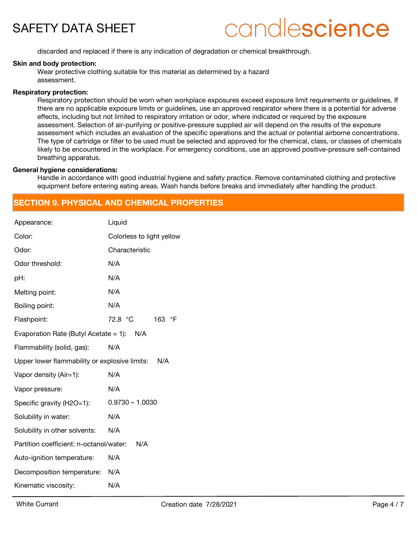# candlescience

discarded and replaced if there is any indication of degradation or chemical breakthrough.

#### **Skin and body protection:**

Wear protective clothing suitable for this material as determined by a hazard assessment.

#### **Respiratory protection:**

Respiratory protection should be worn when workplace exposures exceed exposure limit requirements or guidelines. If there are no applicable exposure limits or guidelines, use an approved respirator where there is a potential for adverse effects, including but not limited to respiratory irritation or odor, where indicated or required by the exposure assessment. Selection of air-purifying or positive-pressure supplied air will depend on the results of the exposure assessment which includes an evaluation of the specific operations and the actual or potential airborne concentrations. The type of cartridge or filter to be used must be selected and approved for the chemical, class, or classes of chemicals likely to be encountered in the workplace. For emergency conditions, use an approved positive-pressure self-contained breathing apparatus.

#### **General hygiene considerations:**

Handle in accordance with good industrial hygiene and safety practice. Remove contaminated clothing and protective equipment before entering eating areas. Wash hands before breaks and immediately after handling the product.

## **SECTION 9. PHYSICAL AND CHEMICAL PROPERTIES**

| Appearance:                                   | Liquid                    |
|-----------------------------------------------|---------------------------|
| Color:                                        | Colorless to light yellow |
| Odor:                                         | Characteristic            |
| Odor threshold:                               | N/A                       |
| pH:                                           | N/A                       |
| Melting point:                                | N/A                       |
| Boiling point:                                | N/A                       |
| Flashpoint:                                   | 72.8 °C<br>163 °F         |
| Evaporation Rate (Butyl Acetate = 1): $N/A$   |                           |
| Flammability (solid, gas):                    | N/A                       |
| Upper lower flammability or explosive limits: | N/A                       |
| Vapor density (Air=1):                        | N/A                       |
| Vapor pressure:                               | N/A                       |
| Specific gravity (H2O=1):                     | $0.9730 - 1.0030$         |
| Solubility in water:                          | N/A                       |
| Solubility in other solvents:                 | N/A                       |
| Partition coefficient: n-octanol/water:       | N/A                       |
| Auto-ignition temperature:                    | N/A                       |
| Decomposition temperature:                    | N/A                       |
| Kinematic viscosity:                          | N/A                       |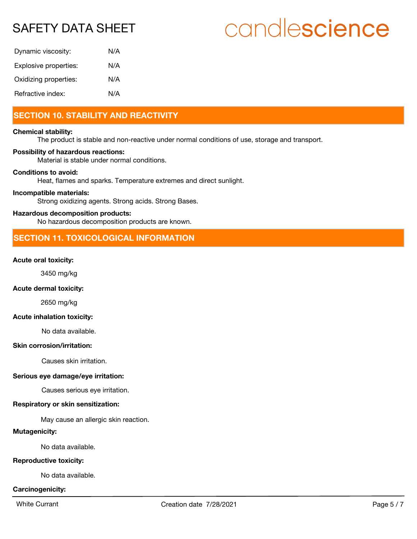# candlescience

| Dynamic viscosity:    | N/A |
|-----------------------|-----|
| Explosive properties: | N/A |
| Oxidizing properties: | N/A |
| Refractive index:     | N/A |

# **SECTION 10. STABILITY AND REACTIVITY**

#### **Chemical stability:**

The product is stable and non-reactive under normal conditions of use, storage and transport.

#### **Possibility of hazardous reactions:**

Material is stable under normal conditions.

#### **Conditions to avoid:**

Heat, flames and sparks. Temperature extremes and direct sunlight.

#### **Incompatible materials:**

Strong oxidizing agents. Strong acids. Strong Bases.

#### **Hazardous decomposition products:**

No hazardous decomposition products are known.

# **SECTION 11. TOXICOLOGICAL INFORMATION**

#### **Acute oral toxicity:**

3450 mg/kg

#### **Acute dermal toxicity:**

2650 mg/kg

#### **Acute inhalation toxicity:**

No data available.

#### **Skin corrosion/irritation:**

Causes skin irritation.

#### **Serious eye damage/eye irritation:**

Causes serious eye irritation.

#### **Respiratory or skin sensitization:**

May cause an allergic skin reaction.

#### **Mutagenicity:**

No data available.

#### **Reproductive toxicity:**

No data available.

#### **Carcinogenicity:**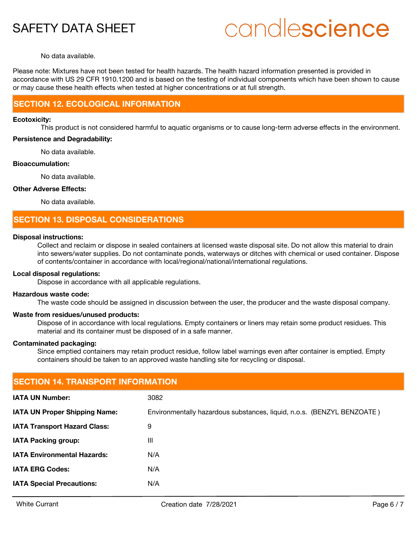# candlescience

#### No data available.

Please note: Mixtures have not been tested for health hazards. The health hazard information presented is provided in accordance with US 29 CFR 1910.1200 and is based on the testing of individual components which have been shown to cause or may cause these health effects when tested at higher concentrations or at full strength.

### **SECTION 12. ECOLOGICAL INFORMATION**

#### **Ecotoxicity:**

This product is not considered harmful to aquatic organisms or to cause long-term adverse effects in the environment.

#### **Persistence and Degradability:**

No data available.

#### **Bioaccumulation:**

No data available.

#### **Other Adverse Effects:**

No data available.

### **SECTION 13. DISPOSAL CONSIDERATIONS**

#### **Disposal instructions:**

Collect and reclaim or dispose in sealed containers at licensed waste disposal site. Do not allow this material to drain into sewers/water supplies. Do not contaminate ponds, waterways or ditches with chemical or used container. Dispose of contents/container in accordance with local/regional/national/international regulations.

#### **Local disposal regulations:**

Dispose in accordance with all applicable regulations.

#### **Hazardous waste code:**

The waste code should be assigned in discussion between the user, the producer and the waste disposal company.

#### **Waste from residues/unused products:**

Dispose of in accordance with local regulations. Empty containers or liners may retain some product residues. This material and its container must be disposed of in a safe manner.

#### **Contaminated packaging:**

Since emptied containers may retain product residue, follow label warnings even after container is emptied. Empty containers should be taken to an approved waste handling site for recycling or disposal.

| <b>SECTION 14. TRANSPORT INFORMATION</b> |                                                                        |  |  |
|------------------------------------------|------------------------------------------------------------------------|--|--|
| <b>IATA UN Number:</b>                   | 3082                                                                   |  |  |
| IATA UN Proper Shipping Name:            | Environmentally hazardous substances, liquid, n.o.s. (BENZYL BENZOATE) |  |  |
| <b>IATA Transport Hazard Class:</b>      | 9                                                                      |  |  |
| <b>IATA Packing group:</b>               | Ш                                                                      |  |  |
| <b>IATA Environmental Hazards:</b>       | N/A                                                                    |  |  |
| <b>IATA ERG Codes:</b>                   | N/A                                                                    |  |  |
| <b>IATA Special Precautions:</b>         | N/A                                                                    |  |  |